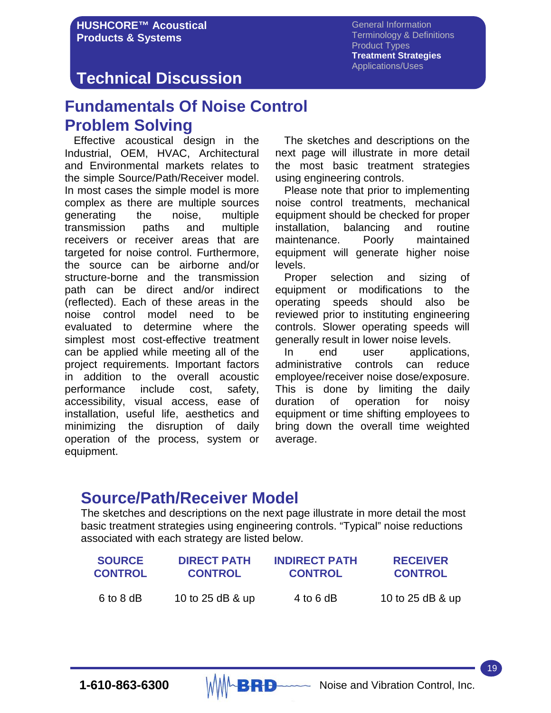General Information Terminology & Definitions Product Types **Treatment Strategies** Applications/Uses

## **Technical Discussion**

## **Fundamentals Of Noise Control Problem Solving**

 Effective acoustical design in the Industrial, OEM, HVAC, Architectural and Environmental markets relates to the simple Source/Path/Receiver model. In most cases the simple model is more complex as there are multiple sources generating the noise, multiple transmission paths and multiple receivers or receiver areas that are targeted for noise control. Furthermore, the source can be airborne and/or structure-borne and the transmission path can be direct and/or indirect (reflected). Each of these areas in the noise control model need to be evaluated to determine where the simplest most cost-effective treatment can be applied while meeting all of the project requirements. Important factors in addition to the overall acoustic performance include cost, safety, accessibility, visual access, ease of installation, useful life, aesthetics and minimizing the disruption of daily operation of the process, system or equipment.

 The sketches and descriptions on the next page will illustrate in more detail the most basic treatment strategies using engineering controls.

 Please note that prior to implementing noise control treatments, mechanical equipment should be checked for proper installation, balancing and routine maintenance. Poorly maintained equipment will generate higher noise levels.

 Proper selection and sizing of equipment or modifications to the operating speeds should also be reviewed prior to instituting engineering controls. Slower operating speeds will generally result in lower noise levels.

 In end user applications, administrative controls can reduce employee/receiver noise dose/exposure. This is done by limiting the daily duration of operation for noisy equipment or time shifting employees to bring down the overall time weighted average.

## **Source/Path/Receiver Model**

The sketches and descriptions on the next page illustrate in more detail the most basic treatment strategies using engineering controls. "Typical" noise reductions associated with each strategy are listed below.

| <b>SOURCE</b>  | <b>DIRECT PATH</b> | <b>INDIRECT PATH</b> | <b>RECEIVER</b>  |
|----------------|--------------------|----------------------|------------------|
| <b>CONTROL</b> | <b>CONTROL</b>     | <b>CONTROL</b>       | <b>CONTROL</b>   |
| 6 to 8 dB      | 10 to 25 dB & up   | 4 to 6 dB            | 10 to 25 dB & up |

19